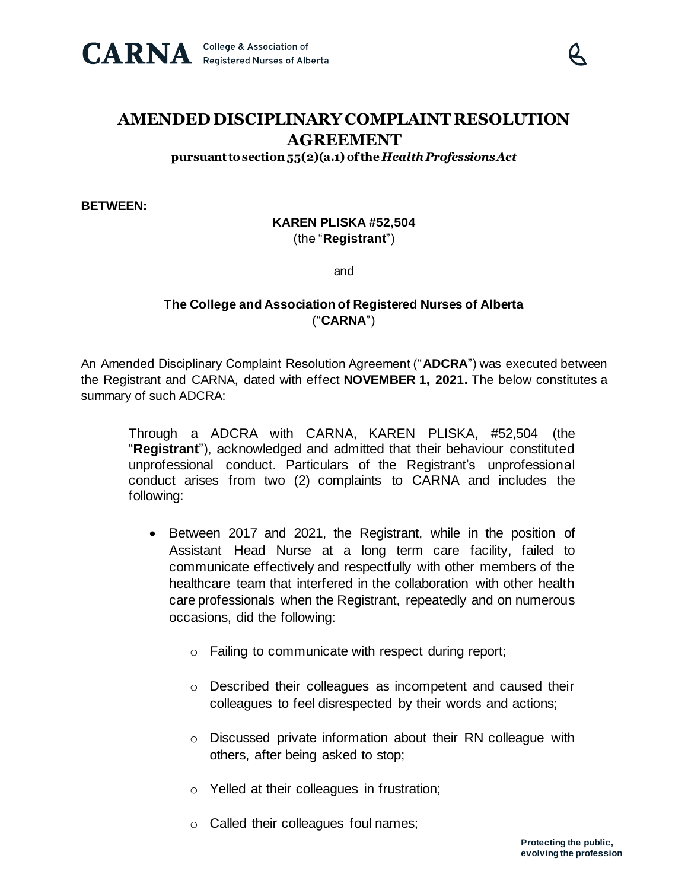

## **AMENDED DISCIPLINARY COMPLAINT RESOLUTION AGREEMENT**

**pursuant to section 55(2)(a.1) of the** *Health Professions Act*

**BETWEEN:**

## **KAREN PLISKA #52,504** (the "**Registrant**")

and

## **The College and Association of Registered Nurses of Alberta** ("**CARNA**")

An Amended Disciplinary Complaint Resolution Agreement ("**ADCRA**") was executed between the Registrant and CARNA, dated with effect **NOVEMBER 1, 2021.** The below constitutes a summary of such ADCRA:

Through a ADCRA with CARNA, KAREN PLISKA, #52,504 (the "**Registrant**"), acknowledged and admitted that their behaviour constituted unprofessional conduct. Particulars of the Registrant's unprofessional conduct arises from two (2) complaints to CARNA and includes the following:

- Between 2017 and 2021, the Registrant, while in the position of Assistant Head Nurse at a long term care facility, failed to communicate effectively and respectfully with other members of the healthcare team that interfered in the collaboration with other health care professionals when the Registrant, repeatedly and on numerous occasions, did the following:
	- o Failing to communicate with respect during report;
	- o Described their colleagues as incompetent and caused their colleagues to feel disrespected by their words and actions;
	- o Discussed private information about their RN colleague with others, after being asked to stop;
	- o Yelled at their colleagues in frustration;
	- o Called their colleagues foul names;